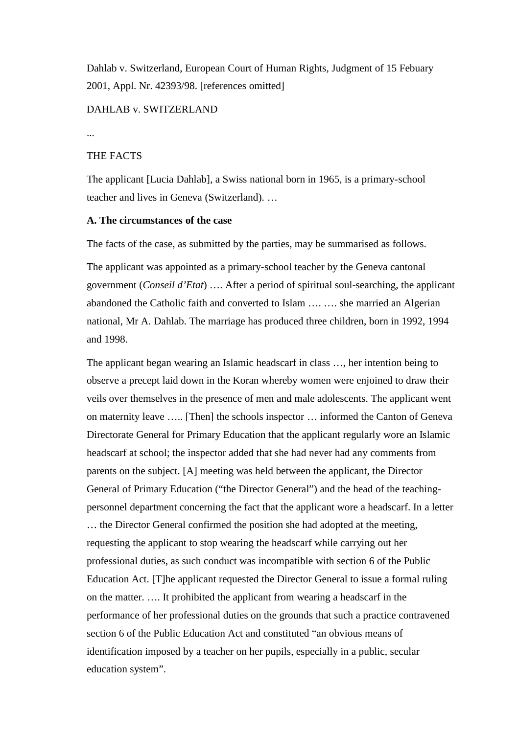Dahlab v. Switzerland, European Court of Human Rights, Judgment of 15 Febuary 2001, Appl. Nr. 42393/98. [references omitted]

# DAHLAB v. SWITZERLAND

...

# THE FACTS

The applicant [Lucia Dahlab], a Swiss national born in 1965, is a primary-school teacher and lives in Geneva (Switzerland). …

### **A. The circumstances of the case**

The facts of the case, as submitted by the parties, may be summarised as follows.

The applicant was appointed as a primary-school teacher by the Geneva cantonal government (*Conseil d'Etat*) …. After a period of spiritual soul-searching, the applicant abandoned the Catholic faith and converted to Islam …. …. she married an Algerian national, Mr A. Dahlab. The marriage has produced three children, born in 1992, 1994 and 1998.

The applicant began wearing an Islamic headscarf in class …, her intention being to observe a precept laid down in the Koran whereby women were enjoined to draw their veils over themselves in the presence of men and male adolescents. The applicant went on maternity leave ….. [Then] the schools inspector … informed the Canton of Geneva Directorate General for Primary Education that the applicant regularly wore an Islamic headscarf at school; the inspector added that she had never had any comments from parents on the subject. [A] meeting was held between the applicant, the Director General of Primary Education ("the Director General") and the head of the teachingpersonnel department concerning the fact that the applicant wore a headscarf. In a letter … the Director General confirmed the position she had adopted at the meeting, requesting the applicant to stop wearing the headscarf while carrying out her professional duties, as such conduct was incompatible with section 6 of the Public Education Act. [T]he applicant requested the Director General to issue a formal ruling on the matter. …. It prohibited the applicant from wearing a headscarf in the performance of her professional duties on the grounds that such a practice contravened section 6 of the Public Education Act and constituted "an obvious means of identification imposed by a teacher on her pupils, especially in a public, secular education system".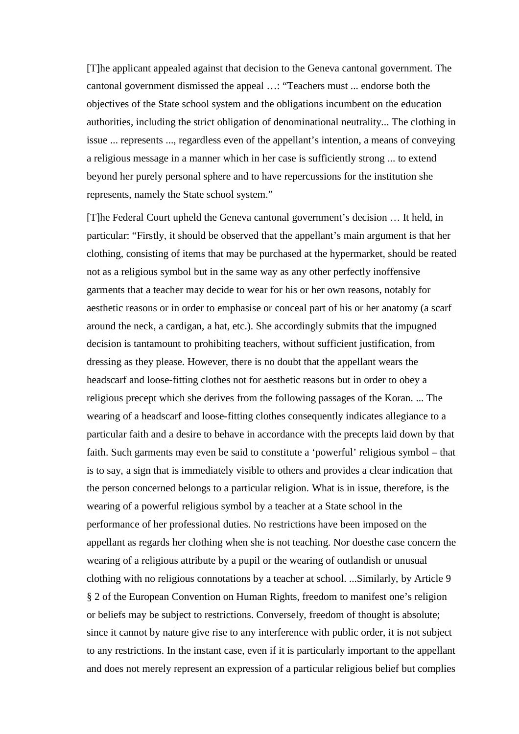[T]he applicant appealed against that decision to the Geneva cantonal government. The cantonal government dismissed the appeal …: "Teachers must ... endorse both the objectives of the State school system and the obligations incumbent on the education authorities, including the strict obligation of denominational neutrality... The clothing in issue ... represents ..., regardless even of the appellant's intention, a means of conveying a religious message in a manner which in her case is sufficiently strong ... to extend beyond her purely personal sphere and to have repercussions for the institution she represents, namely the State school system."

[T]he Federal Court upheld the Geneva cantonal government's decision … It held, in particular: "Firstly, it should be observed that the appellant's main argument is that her clothing, consisting of items that may be purchased at the hypermarket, should be reated not as a religious symbol but in the same way as any other perfectly inoffensive garments that a teacher may decide to wear for his or her own reasons, notably for aesthetic reasons or in order to emphasise or conceal part of his or her anatomy (a scarf around the neck, a cardigan, a hat, etc.). She accordingly submits that the impugned decision is tantamount to prohibiting teachers, without sufficient justification, from dressing as they please. However, there is no doubt that the appellant wears the headscarf and loose-fitting clothes not for aesthetic reasons but in order to obey a religious precept which she derives from the following passages of the Koran. ... The wearing of a headscarf and loose-fitting clothes consequently indicates allegiance to a particular faith and a desire to behave in accordance with the precepts laid down by that faith. Such garments may even be said to constitute a 'powerful' religious symbol – that is to say, a sign that is immediately visible to others and provides a clear indication that the person concerned belongs to a particular religion. What is in issue, therefore, is the wearing of a powerful religious symbol by a teacher at a State school in the performance of her professional duties. No restrictions have been imposed on the appellant as regards her clothing when she is not teaching. Nor doesthe case concern the wearing of a religious attribute by a pupil or the wearing of outlandish or unusual clothing with no religious connotations by a teacher at school. ...Similarly, by Article 9 § 2 of the European Convention on Human Rights, freedom to manifest one's religion or beliefs may be subject to restrictions. Conversely, freedom of thought is absolute; since it cannot by nature give rise to any interference with public order, it is not subject to any restrictions. In the instant case, even if it is particularly important to the appellant and does not merely represent an expression of a particular religious belief but complies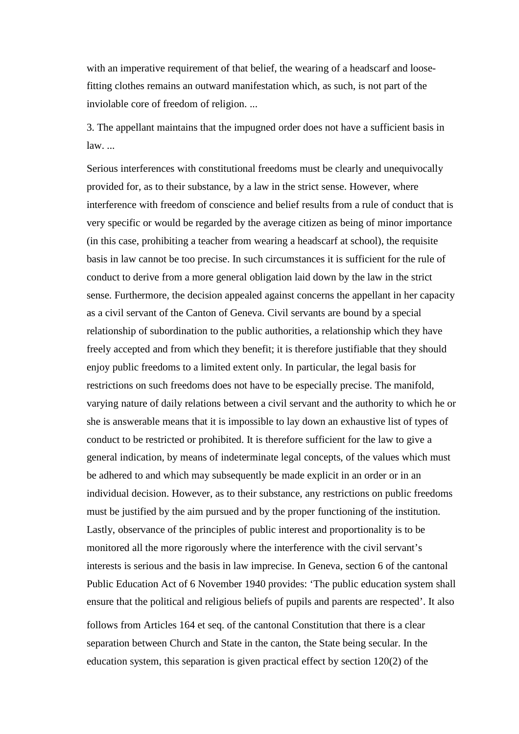with an imperative requirement of that belief, the wearing of a headscarf and loosefitting clothes remains an outward manifestation which, as such, is not part of the inviolable core of freedom of religion. ...

3. The appellant maintains that the impugned order does not have a sufficient basis in law. ...

Serious interferences with constitutional freedoms must be clearly and unequivocally provided for, as to their substance, by a law in the strict sense. However, where interference with freedom of conscience and belief results from a rule of conduct that is very specific or would be regarded by the average citizen as being of minor importance (in this case, prohibiting a teacher from wearing a headscarf at school), the requisite basis in law cannot be too precise. In such circumstances it is sufficient for the rule of conduct to derive from a more general obligation laid down by the law in the strict sense. Furthermore, the decision appealed against concerns the appellant in her capacity as a civil servant of the Canton of Geneva. Civil servants are bound by a special relationship of subordination to the public authorities, a relationship which they have freely accepted and from which they benefit; it is therefore justifiable that they should enjoy public freedoms to a limited extent only. In particular, the legal basis for restrictions on such freedoms does not have to be especially precise. The manifold, varying nature of daily relations between a civil servant and the authority to which he or she is answerable means that it is impossible to lay down an exhaustive list of types of conduct to be restricted or prohibited. It is therefore sufficient for the law to give a general indication, by means of indeterminate legal concepts, of the values which must be adhered to and which may subsequently be made explicit in an order or in an individual decision. However, as to their substance, any restrictions on public freedoms must be justified by the aim pursued and by the proper functioning of the institution. Lastly, observance of the principles of public interest and proportionality is to be monitored all the more rigorously where the interference with the civil servant's interests is serious and the basis in law imprecise. In Geneva, section 6 of the cantonal Public Education Act of 6 November 1940 provides: 'The public education system shall ensure that the political and religious beliefs of pupils and parents are respected'. It also

follows from Articles 164 et seq. of the cantonal Constitution that there is a clear separation between Church and State in the canton, the State being secular. In the education system, this separation is given practical effect by section 120(2) of the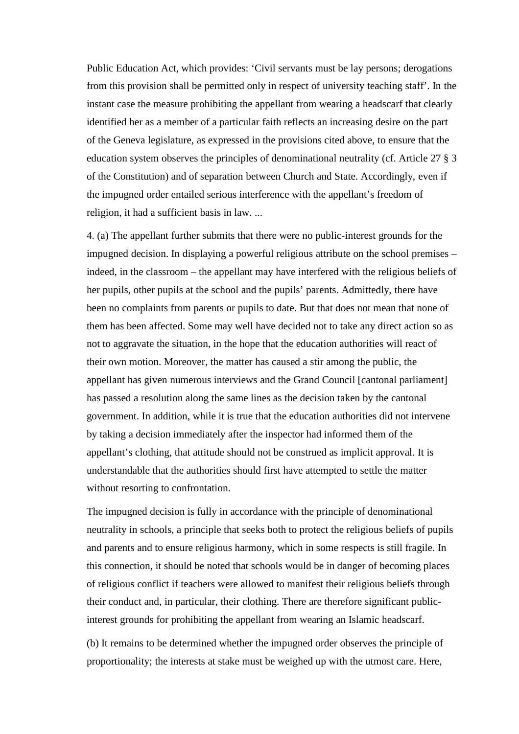Public Education Act, which provides: 'Civil servants must be lay persons; derogations from this provision shall be permitted only in respect of university teaching staff'. In the instant case the measure prohibiting the appellant from wearing a headscarf that clearly identified her as a member of a particular faith reflects an increasing desire on the part of the Geneva legislature, as expressed in the provisions cited above, to ensure that the education system observes the principles of denominational neutrality (cf. Article 27 § 3 of the Constitution) and of separation between Church and State. Accordingly, even if the impugned order entailed serious interference with the appellant's freedom of religion, it had a sufficient basis in law. ...

4. (a) The appellant further submits that there were no public-interest grounds for the impugned decision. In displaying a powerful religious attribute on the school premises – indeed, in the classroom – the appellant may have interfered with the religious beliefs of her pupils, other pupils at the school and the pupils' parents. Admittedly, there have been no complaints from parents or pupils to date. But that does not mean that none of them has been affected. Some may well have decided not to take any direct action so as not to aggravate the situation, in the hope that the education authorities will react of their own motion. Moreover, the matter has caused a stir among the public, the appellant has given numerous interviews and the Grand Council [cantonal parliament] has passed a resolution along the same lines as the decision taken by the cantonal government. In addition, while it is true that the education authorities did not intervene by taking a decision immediately after the inspector had informed them of the appellant's clothing, that attitude should not be construed as implicit approval. It is understandable that the authorities should first have attempted to settle the matter without resorting to confrontation.

The impugned decision is fully in accordance with the principle of denominational neutrality in schools, a principle that seeks both to protect the religious beliefs of pupils and parents and to ensure religious harmony, which in some respects is still fragile. In this connection, it should be noted that schools would be in danger of becoming places of religious conflict if teachers were allowed to manifest their religious beliefs through their conduct and, in particular, their clothing. There are therefore significant publicinterest grounds for prohibiting the appellant from wearing an Islamic headscarf.

(b) It remains to be determined whether the impugned order observes the principle of proportionality; the interests at stake must be weighed up with the utmost care. Here,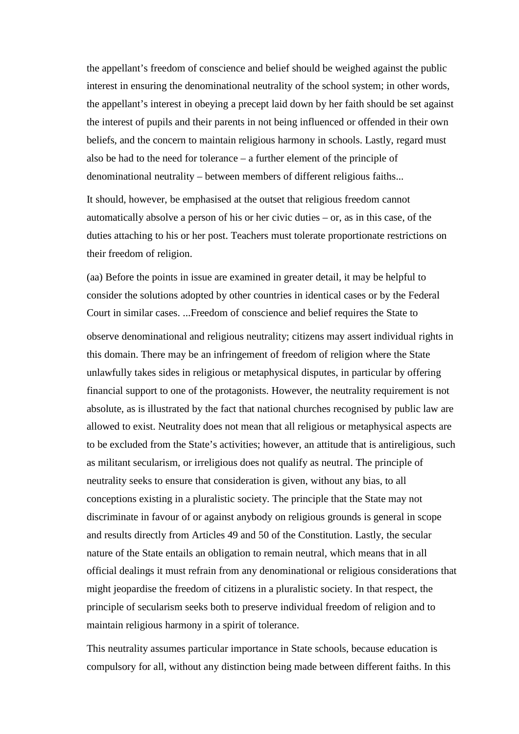the appellant's freedom of conscience and belief should be weighed against the public interest in ensuring the denominational neutrality of the school system; in other words, the appellant's interest in obeying a precept laid down by her faith should be set against the interest of pupils and their parents in not being influenced or offended in their own beliefs, and the concern to maintain religious harmony in schools. Lastly, regard must also be had to the need for tolerance – a further element of the principle of denominational neutrality – between members of different religious faiths...

It should, however, be emphasised at the outset that religious freedom cannot automatically absolve a person of his or her civic duties – or, as in this case, of the duties attaching to his or her post. Teachers must tolerate proportionate restrictions on their freedom of religion.

(aa) Before the points in issue are examined in greater detail, it may be helpful to consider the solutions adopted by other countries in identical cases or by the Federal Court in similar cases. ...Freedom of conscience and belief requires the State to

observe denominational and religious neutrality; citizens may assert individual rights in this domain. There may be an infringement of freedom of religion where the State unlawfully takes sides in religious or metaphysical disputes, in particular by offering financial support to one of the protagonists. However, the neutrality requirement is not absolute, as is illustrated by the fact that national churches recognised by public law are allowed to exist. Neutrality does not mean that all religious or metaphysical aspects are to be excluded from the State's activities; however, an attitude that is antireligious, such as militant secularism, or irreligious does not qualify as neutral. The principle of neutrality seeks to ensure that consideration is given, without any bias, to all conceptions existing in a pluralistic society. The principle that the State may not discriminate in favour of or against anybody on religious grounds is general in scope and results directly from Articles 49 and 50 of the Constitution. Lastly, the secular nature of the State entails an obligation to remain neutral, which means that in all official dealings it must refrain from any denominational or religious considerations that might jeopardise the freedom of citizens in a pluralistic society. In that respect, the principle of secularism seeks both to preserve individual freedom of religion and to maintain religious harmony in a spirit of tolerance.

This neutrality assumes particular importance in State schools, because education is compulsory for all, without any distinction being made between different faiths. In this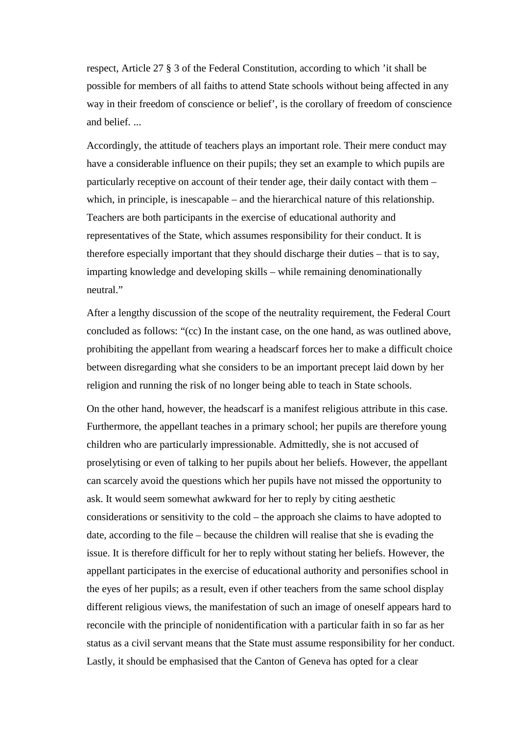respect, Article 27 § 3 of the Federal Constitution, according to which 'it shall be possible for members of all faiths to attend State schools without being affected in any way in their freedom of conscience or belief', is the corollary of freedom of conscience and belief. ...

Accordingly, the attitude of teachers plays an important role. Their mere conduct may have a considerable influence on their pupils; they set an example to which pupils are particularly receptive on account of their tender age, their daily contact with them – which, in principle, is inescapable – and the hierarchical nature of this relationship. Teachers are both participants in the exercise of educational authority and representatives of the State, which assumes responsibility for their conduct. It is therefore especially important that they should discharge their duties – that is to say, imparting knowledge and developing skills – while remaining denominationally neutral."

After a lengthy discussion of the scope of the neutrality requirement, the Federal Court concluded as follows: "(cc) In the instant case, on the one hand, as was outlined above, prohibiting the appellant from wearing a headscarf forces her to make a difficult choice between disregarding what she considers to be an important precept laid down by her religion and running the risk of no longer being able to teach in State schools.

On the other hand, however, the headscarf is a manifest religious attribute in this case. Furthermore, the appellant teaches in a primary school; her pupils are therefore young children who are particularly impressionable. Admittedly, she is not accused of proselytising or even of talking to her pupils about her beliefs. However, the appellant can scarcely avoid the questions which her pupils have not missed the opportunity to ask. It would seem somewhat awkward for her to reply by citing aesthetic considerations or sensitivity to the cold – the approach she claims to have adopted to date, according to the file – because the children will realise that she is evading the issue. It is therefore difficult for her to reply without stating her beliefs. However, the appellant participates in the exercise of educational authority and personifies school in the eyes of her pupils; as a result, even if other teachers from the same school display different religious views, the manifestation of such an image of oneself appears hard to reconcile with the principle of nonidentification with a particular faith in so far as her status as a civil servant means that the State must assume responsibility for her conduct. Lastly, it should be emphasised that the Canton of Geneva has opted for a clear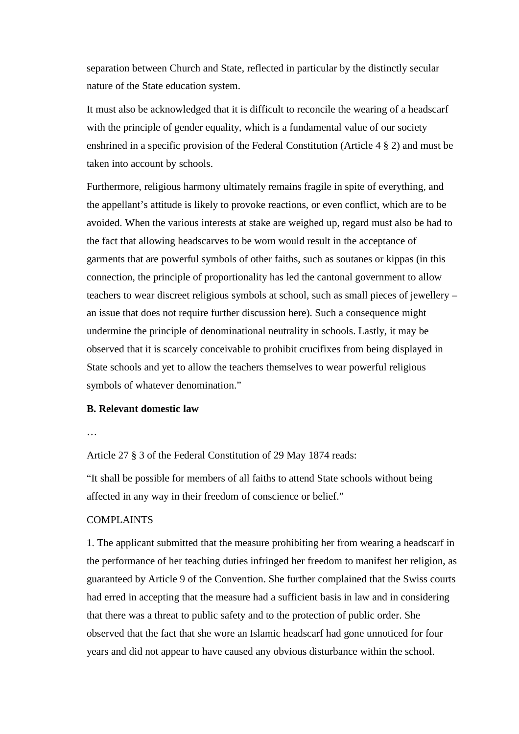separation between Church and State, reflected in particular by the distinctly secular nature of the State education system.

It must also be acknowledged that it is difficult to reconcile the wearing of a headscarf with the principle of gender equality, which is a fundamental value of our society enshrined in a specific provision of the Federal Constitution (Article 4 § 2) and must be taken into account by schools.

Furthermore, religious harmony ultimately remains fragile in spite of everything, and the appellant's attitude is likely to provoke reactions, or even conflict, which are to be avoided. When the various interests at stake are weighed up, regard must also be had to the fact that allowing headscarves to be worn would result in the acceptance of garments that are powerful symbols of other faiths, such as soutanes or kippas (in this connection, the principle of proportionality has led the cantonal government to allow teachers to wear discreet religious symbols at school, such as small pieces of jewellery – an issue that does not require further discussion here). Such a consequence might undermine the principle of denominational neutrality in schools. Lastly, it may be observed that it is scarcely conceivable to prohibit crucifixes from being displayed in State schools and yet to allow the teachers themselves to wear powerful religious symbols of whatever denomination."

# **B. Relevant domestic law**

#### …

Article 27 § 3 of the Federal Constitution of 29 May 1874 reads:

"It shall be possible for members of all faiths to attend State schools without being affected in any way in their freedom of conscience or belief."

# COMPLAINTS

1. The applicant submitted that the measure prohibiting her from wearing a headscarf in the performance of her teaching duties infringed her freedom to manifest her religion, as guaranteed by Article 9 of the Convention. She further complained that the Swiss courts had erred in accepting that the measure had a sufficient basis in law and in considering that there was a threat to public safety and to the protection of public order. She observed that the fact that she wore an Islamic headscarf had gone unnoticed for four years and did not appear to have caused any obvious disturbance within the school.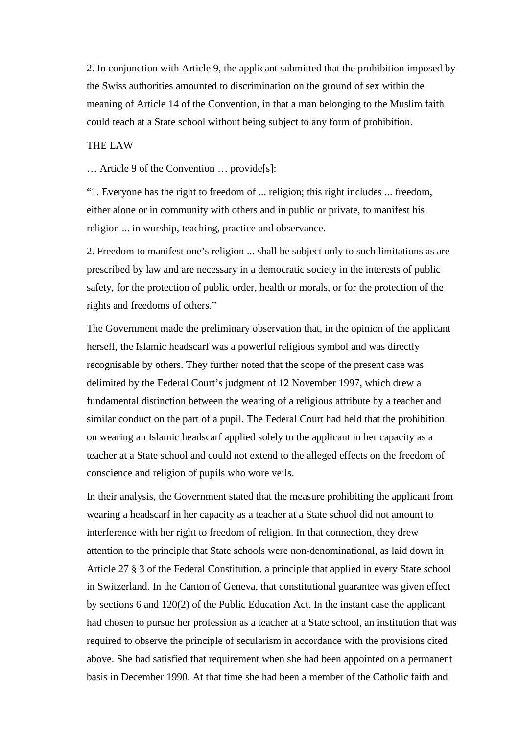2. In conjunction with Article 9, the applicant submitted that the prohibition imposed by the Swiss authorities amounted to discrimination on the ground of sex within the meaning of Article 14 of the Convention, in that a man belonging to the Muslim faith could teach at a State school without being subject to any form of prohibition.

# THE LAW

… Article 9 of the Convention … provide[s]:

"1. Everyone has the right to freedom of ... religion; this right includes ... freedom, either alone or in community with others and in public or private, to manifest his religion ... in worship, teaching, practice and observance.

2. Freedom to manifest one's religion ... shall be subject only to such limitations as are prescribed by law and are necessary in a democratic society in the interests of public safety, for the protection of public order, health or morals, or for the protection of the rights and freedoms of others."

The Government made the preliminary observation that, in the opinion of the applicant herself, the Islamic headscarf was a powerful religious symbol and was directly recognisable by others. They further noted that the scope of the present case was delimited by the Federal Court's judgment of 12 November 1997, which drew a fundamental distinction between the wearing of a religious attribute by a teacher and similar conduct on the part of a pupil. The Federal Court had held that the prohibition on wearing an Islamic headscarf applied solely to the applicant in her capacity as a teacher at a State school and could not extend to the alleged effects on the freedom of conscience and religion of pupils who wore veils.

In their analysis, the Government stated that the measure prohibiting the applicant from wearing a headscarf in her capacity as a teacher at a State school did not amount to interference with her right to freedom of religion. In that connection, they drew attention to the principle that State schools were non-denominational, as laid down in Article 27 § 3 of the Federal Constitution, a principle that applied in every State school in Switzerland. In the Canton of Geneva, that constitutional guarantee was given effect by sections 6 and 120(2) of the Public Education Act. In the instant case the applicant had chosen to pursue her profession as a teacher at a State school, an institution that was required to observe the principle of secularism in accordance with the provisions cited above. She had satisfied that requirement when she had been appointed on a permanent basis in December 1990. At that time she had been a member of the Catholic faith and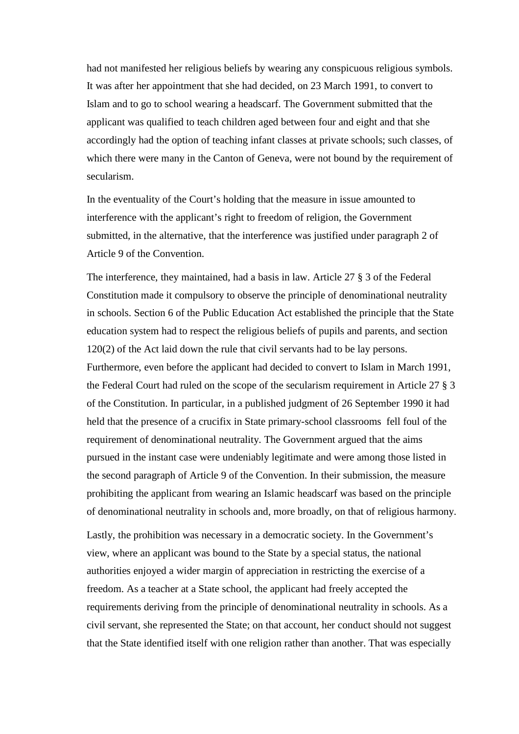had not manifested her religious beliefs by wearing any conspicuous religious symbols. It was after her appointment that she had decided, on 23 March 1991, to convert to Islam and to go to school wearing a headscarf. The Government submitted that the applicant was qualified to teach children aged between four and eight and that she accordingly had the option of teaching infant classes at private schools; such classes, of which there were many in the Canton of Geneva, were not bound by the requirement of secularism.

In the eventuality of the Court's holding that the measure in issue amounted to interference with the applicant's right to freedom of religion, the Government submitted, in the alternative, that the interference was justified under paragraph 2 of Article 9 of the Convention.

The interference, they maintained, had a basis in law. Article 27 § 3 of the Federal Constitution made it compulsory to observe the principle of denominational neutrality in schools. Section 6 of the Public Education Act established the principle that the State education system had to respect the religious beliefs of pupils and parents, and section 120(2) of the Act laid down the rule that civil servants had to be lay persons. Furthermore, even before the applicant had decided to convert to Islam in March 1991, the Federal Court had ruled on the scope of the secularism requirement in Article 27 § 3 of the Constitution. In particular, in a published judgment of 26 September 1990 it had held that the presence of a crucifix in State primary-school classrooms fell foul of the requirement of denominational neutrality. The Government argued that the aims pursued in the instant case were undeniably legitimate and were among those listed in the second paragraph of Article 9 of the Convention. In their submission, the measure prohibiting the applicant from wearing an Islamic headscarf was based on the principle of denominational neutrality in schools and, more broadly, on that of religious harmony.

Lastly, the prohibition was necessary in a democratic society. In the Government's view, where an applicant was bound to the State by a special status, the national authorities enjoyed a wider margin of appreciation in restricting the exercise of a freedom. As a teacher at a State school, the applicant had freely accepted the requirements deriving from the principle of denominational neutrality in schools. As a civil servant, she represented the State; on that account, her conduct should not suggest that the State identified itself with one religion rather than another. That was especially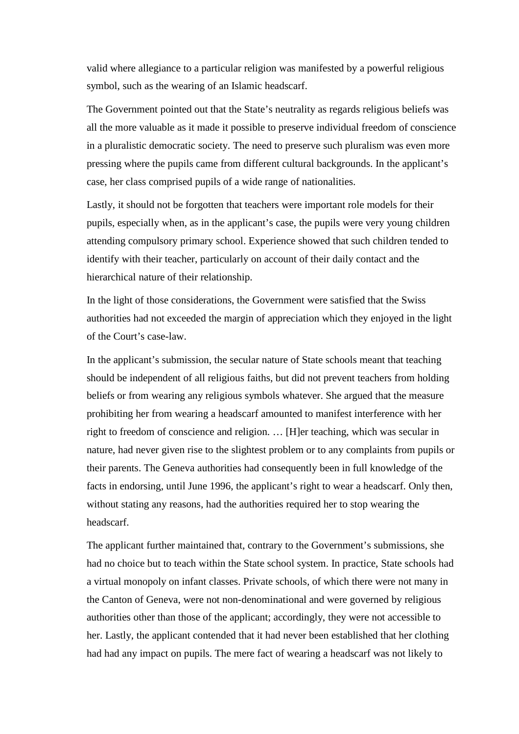valid where allegiance to a particular religion was manifested by a powerful religious symbol, such as the wearing of an Islamic headscarf.

The Government pointed out that the State's neutrality as regards religious beliefs was all the more valuable as it made it possible to preserve individual freedom of conscience in a pluralistic democratic society. The need to preserve such pluralism was even more pressing where the pupils came from different cultural backgrounds. In the applicant's case, her class comprised pupils of a wide range of nationalities.

Lastly, it should not be forgotten that teachers were important role models for their pupils, especially when, as in the applicant's case, the pupils were very young children attending compulsory primary school. Experience showed that such children tended to identify with their teacher, particularly on account of their daily contact and the hierarchical nature of their relationship.

In the light of those considerations, the Government were satisfied that the Swiss authorities had not exceeded the margin of appreciation which they enjoyed in the light of the Court's case-law.

In the applicant's submission, the secular nature of State schools meant that teaching should be independent of all religious faiths, but did not prevent teachers from holding beliefs or from wearing any religious symbols whatever. She argued that the measure prohibiting her from wearing a headscarf amounted to manifest interference with her right to freedom of conscience and religion. … [H]er teaching, which was secular in nature, had never given rise to the slightest problem or to any complaints from pupils or their parents. The Geneva authorities had consequently been in full knowledge of the facts in endorsing, until June 1996, the applicant's right to wear a headscarf. Only then, without stating any reasons, had the authorities required her to stop wearing the headscarf.

The applicant further maintained that, contrary to the Government's submissions, she had no choice but to teach within the State school system. In practice, State schools had a virtual monopoly on infant classes. Private schools, of which there were not many in the Canton of Geneva, were not non-denominational and were governed by religious authorities other than those of the applicant; accordingly, they were not accessible to her. Lastly, the applicant contended that it had never been established that her clothing had had any impact on pupils. The mere fact of wearing a headscarf was not likely to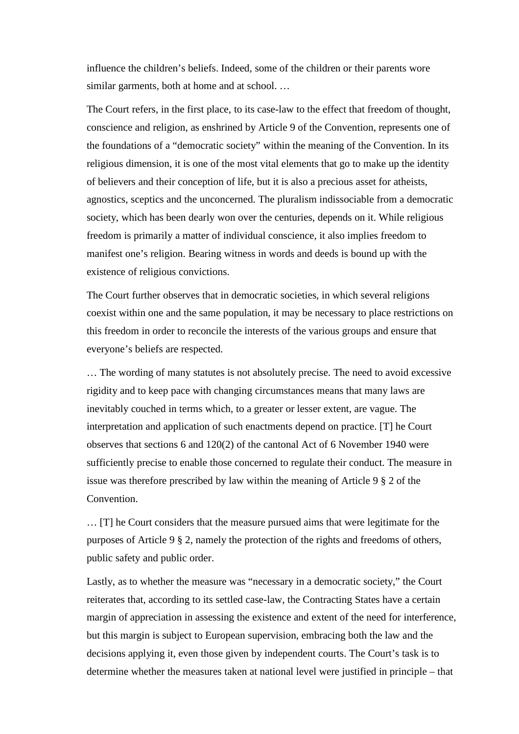influence the children's beliefs. Indeed, some of the children or their parents wore similar garments, both at home and at school. ...

The Court refers, in the first place, to its case-law to the effect that freedom of thought, conscience and religion, as enshrined by Article 9 of the Convention, represents one of the foundations of a "democratic society" within the meaning of the Convention. In its religious dimension, it is one of the most vital elements that go to make up the identity of believers and their conception of life, but it is also a precious asset for atheists, agnostics, sceptics and the unconcerned. The pluralism indissociable from a democratic society, which has been dearly won over the centuries, depends on it. While religious freedom is primarily a matter of individual conscience, it also implies freedom to manifest one's religion. Bearing witness in words and deeds is bound up with the existence of religious convictions.

The Court further observes that in democratic societies, in which several religions coexist within one and the same population, it may be necessary to place restrictions on this freedom in order to reconcile the interests of the various groups and ensure that everyone's beliefs are respected.

… The wording of many statutes is not absolutely precise. The need to avoid excessive rigidity and to keep pace with changing circumstances means that many laws are inevitably couched in terms which, to a greater or lesser extent, are vague. The interpretation and application of such enactments depend on practice. [T] he Court observes that sections 6 and 120(2) of the cantonal Act of 6 November 1940 were sufficiently precise to enable those concerned to regulate their conduct. The measure in issue was therefore prescribed by law within the meaning of Article 9 § 2 of the Convention.

… [T] he Court considers that the measure pursued aims that were legitimate for the purposes of Article 9 § 2, namely the protection of the rights and freedoms of others, public safety and public order.

Lastly, as to whether the measure was "necessary in a democratic society," the Court reiterates that, according to its settled case-law, the Contracting States have a certain margin of appreciation in assessing the existence and extent of the need for interference, but this margin is subject to European supervision, embracing both the law and the decisions applying it, even those given by independent courts. The Court's task is to determine whether the measures taken at national level were justified in principle – that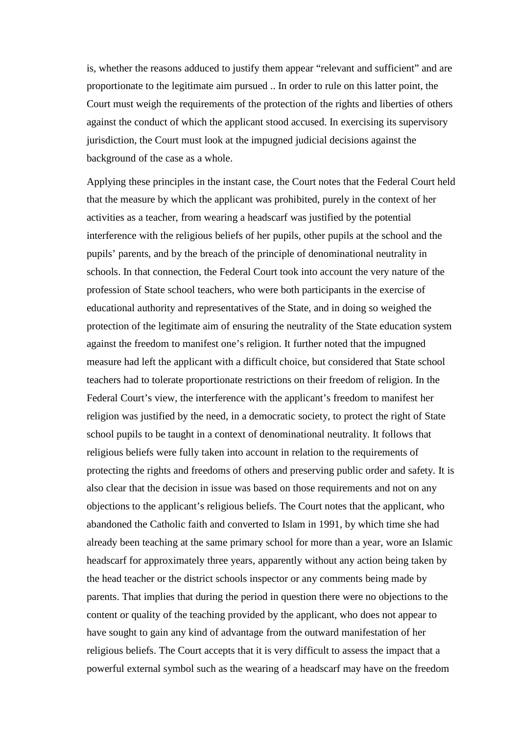is, whether the reasons adduced to justify them appear "relevant and sufficient" and are proportionate to the legitimate aim pursued .. In order to rule on this latter point, the Court must weigh the requirements of the protection of the rights and liberties of others against the conduct of which the applicant stood accused. In exercising its supervisory jurisdiction, the Court must look at the impugned judicial decisions against the background of the case as a whole.

Applying these principles in the instant case, the Court notes that the Federal Court held that the measure by which the applicant was prohibited, purely in the context of her activities as a teacher, from wearing a headscarf was justified by the potential interference with the religious beliefs of her pupils, other pupils at the school and the pupils' parents, and by the breach of the principle of denominational neutrality in schools. In that connection, the Federal Court took into account the very nature of the profession of State school teachers, who were both participants in the exercise of educational authority and representatives of the State, and in doing so weighed the protection of the legitimate aim of ensuring the neutrality of the State education system against the freedom to manifest one's religion. It further noted that the impugned measure had left the applicant with a difficult choice, but considered that State school teachers had to tolerate proportionate restrictions on their freedom of religion. In the Federal Court's view, the interference with the applicant's freedom to manifest her religion was justified by the need, in a democratic society, to protect the right of State school pupils to be taught in a context of denominational neutrality. It follows that religious beliefs were fully taken into account in relation to the requirements of protecting the rights and freedoms of others and preserving public order and safety. It is also clear that the decision in issue was based on those requirements and not on any objections to the applicant's religious beliefs. The Court notes that the applicant, who abandoned the Catholic faith and converted to Islam in 1991, by which time she had already been teaching at the same primary school for more than a year, wore an Islamic headscarf for approximately three years, apparently without any action being taken by the head teacher or the district schools inspector or any comments being made by parents. That implies that during the period in question there were no objections to the content or quality of the teaching provided by the applicant, who does not appear to have sought to gain any kind of advantage from the outward manifestation of her religious beliefs. The Court accepts that it is very difficult to assess the impact that a powerful external symbol such as the wearing of a headscarf may have on the freedom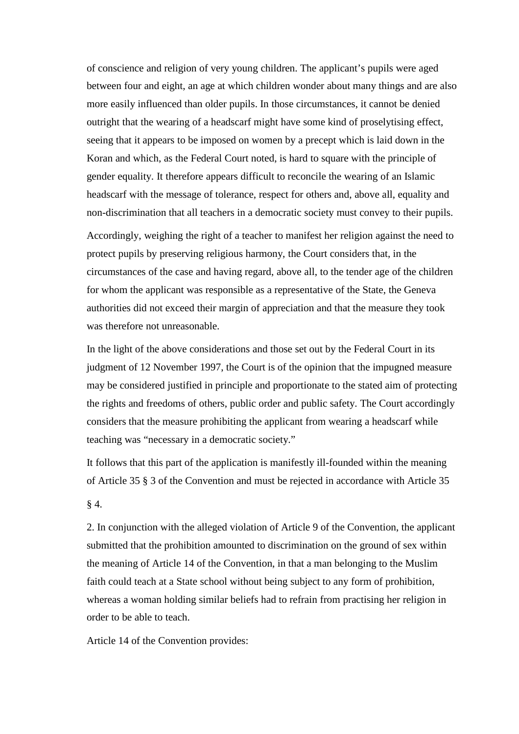of conscience and religion of very young children. The applicant's pupils were aged between four and eight, an age at which children wonder about many things and are also more easily influenced than older pupils. In those circumstances, it cannot be denied outright that the wearing of a headscarf might have some kind of proselytising effect, seeing that it appears to be imposed on women by a precept which is laid down in the Koran and which, as the Federal Court noted, is hard to square with the principle of gender equality. It therefore appears difficult to reconcile the wearing of an Islamic headscarf with the message of tolerance, respect for others and, above all, equality and non-discrimination that all teachers in a democratic society must convey to their pupils.

Accordingly, weighing the right of a teacher to manifest her religion against the need to protect pupils by preserving religious harmony, the Court considers that, in the circumstances of the case and having regard, above all, to the tender age of the children for whom the applicant was responsible as a representative of the State, the Geneva authorities did not exceed their margin of appreciation and that the measure they took was therefore not unreasonable.

In the light of the above considerations and those set out by the Federal Court in its judgment of 12 November 1997, the Court is of the opinion that the impugned measure may be considered justified in principle and proportionate to the stated aim of protecting the rights and freedoms of others, public order and public safety. The Court accordingly considers that the measure prohibiting the applicant from wearing a headscarf while teaching was "necessary in a democratic society."

It follows that this part of the application is manifestly ill-founded within the meaning of Article 35 § 3 of the Convention and must be rejected in accordance with Article 35

§ 4.

2. In conjunction with the alleged violation of Article 9 of the Convention, the applicant submitted that the prohibition amounted to discrimination on the ground of sex within the meaning of Article 14 of the Convention, in that a man belonging to the Muslim faith could teach at a State school without being subject to any form of prohibition, whereas a woman holding similar beliefs had to refrain from practising her religion in order to be able to teach.

Article 14 of the Convention provides: